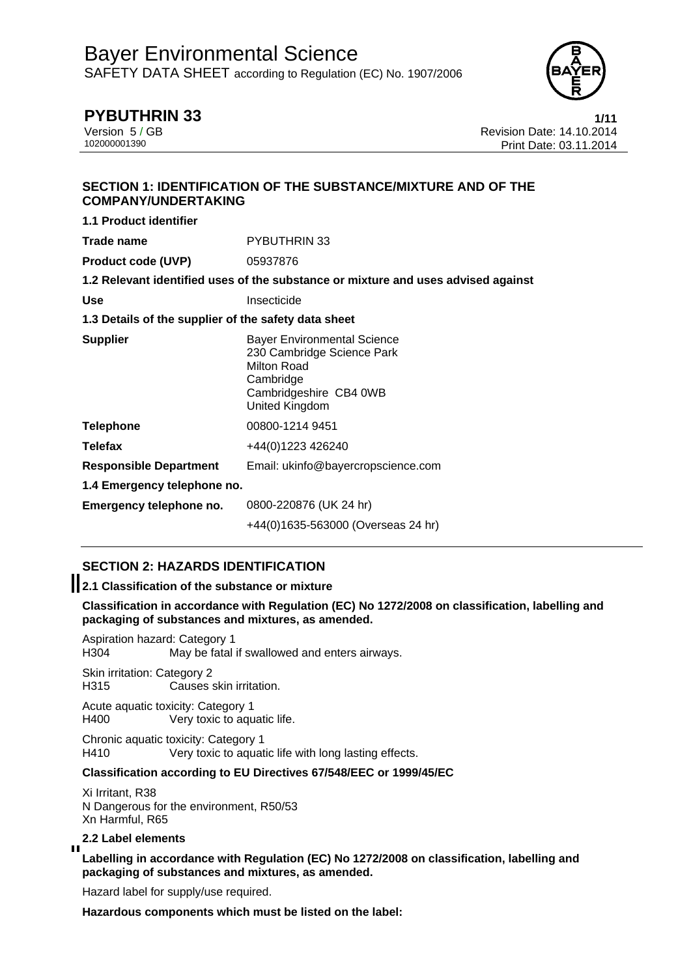

# **PYBUTHRIN 33 1/11**

**1.1 Product identifier** 

Version 5 / GB Revision Date: 14.10.2014 Print Date: 03.11.2014

## **SECTION 1: IDENTIFICATION OF THE SUBSTANCE/MIXTURE AND OF THE COMPANY/UNDERTAKING**

| 1.1 Product identifier                               |                                                                                                                                          |  |
|------------------------------------------------------|------------------------------------------------------------------------------------------------------------------------------------------|--|
| Trade name                                           | PYBUTHRIN 33                                                                                                                             |  |
| <b>Product code (UVP)</b>                            | 05937876                                                                                                                                 |  |
|                                                      | 1.2 Relevant identified uses of the substance or mixture and uses advised against                                                        |  |
| <b>Use</b>                                           | Insecticide                                                                                                                              |  |
| 1.3 Details of the supplier of the safety data sheet |                                                                                                                                          |  |
| <b>Supplier</b>                                      | <b>Bayer Environmental Science</b><br>230 Cambridge Science Park<br>Milton Road<br>Cambridge<br>Cambridgeshire CB4 0WB<br>United Kingdom |  |
| <b>Telephone</b>                                     | 00800-1214 9451                                                                                                                          |  |
| <b>Telefax</b>                                       | +44(0)1223 426240                                                                                                                        |  |
| <b>Responsible Department</b>                        | Email: ukinfo@bayercropscience.com                                                                                                       |  |
| 1.4 Emergency telephone no.                          |                                                                                                                                          |  |
| Emergency telephone no.                              | 0800-220876 (UK 24 hr)                                                                                                                   |  |
|                                                      | +44(0)1635-563000 (Overseas 24 hr)                                                                                                       |  |

## **SECTION 2: HAZARDS IDENTIFICATION**

## **2.1 Classification of the substance or mixture**

**Classification in accordance with Regulation (EC) No 1272/2008 on classification, labelling and packaging of substances and mixtures, as amended.** 

Aspiration hazard: Category 1 May be fatal if swallowed and enters airways.

Skin irritation: Category 2 H315 Causes skin irritation.

Acute aquatic toxicity: Category 1 H400 Very toxic to aquatic life.

Chronic aquatic toxicity: Category 1 H410 Very toxic to aquatic life with long lasting effects.

## **Classification according to EU Directives 67/548/EEC or 1999/45/EC**

Xi Irritant, R38 N Dangerous for the environment, R50/53 Xn Harmful, R65

#### **2.2 Label elements**   $\blacksquare$

**Labelling in accordance with Regulation (EC) No 1272/2008 on classification, labelling and packaging of substances and mixtures, as amended.** 

Hazard label for supply/use required.

**Hazardous components which must be listed on the label:**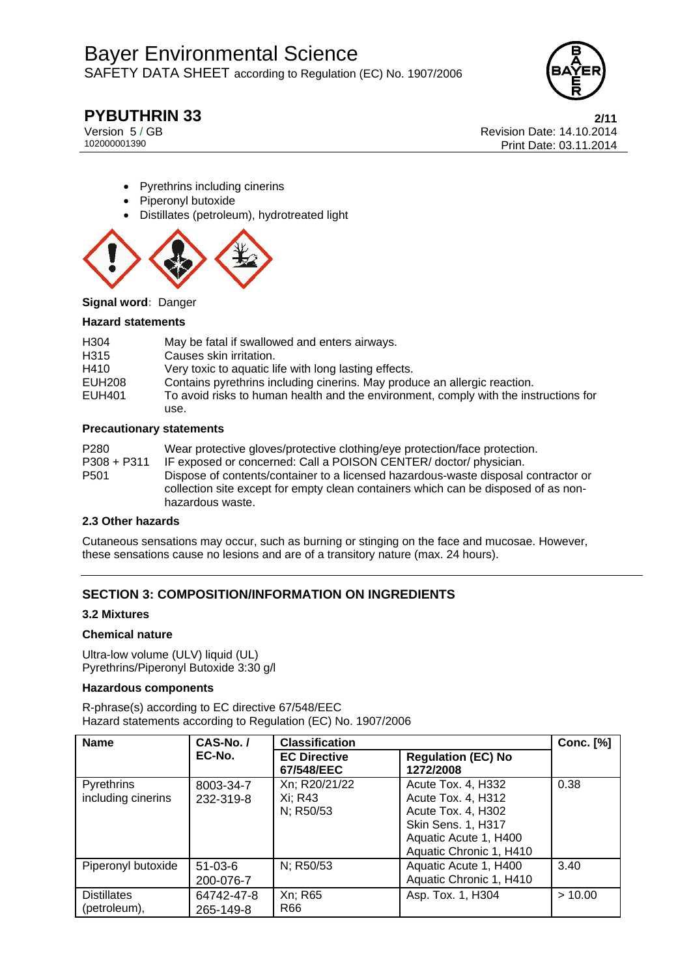

# **PYBUTHRIN 33** 2/11

Version 5 / GB Revision Date: 14.10.2014 Print Date: 03.11.2014

- Pyrethrins including cinerins
- Piperonyl butoxide
- Distillates (petroleum), hydrotreated light



**Signal word:** Danger

#### **Hazard statements**

| H <sub>304</sub> | May be fatal if swallowed and enters airways.                                        |
|------------------|--------------------------------------------------------------------------------------|
| H <sub>315</sub> | Causes skin irritation.                                                              |
| H410             | Very toxic to aquatic life with long lasting effects.                                |
| EUH208           | Contains pyrethrins including cinerins. May produce an allergic reaction.            |
| EUH401           | To avoid risks to human health and the environment, comply with the instructions for |
|                  | use.                                                                                 |

#### **Precautionary statements**

| P <sub>280</sub> | Wear protective gloves/protective clothing/eye protection/face protection.         |
|------------------|------------------------------------------------------------------------------------|
| $P308 + P311$    | IF exposed or concerned: Call a POISON CENTER/doctor/physician.                    |
| P <sub>501</sub> | Dispose of contents/container to a licensed hazardous-waste disposal contractor or |
|                  | collection site except for empty clean containers which can be disposed of as non- |
|                  | hazardous waste.                                                                   |

#### **2.3 Other hazards**

Cutaneous sensations may occur, such as burning or stinging on the face and mucosae. However, these sensations cause no lesions and are of a transitory nature (max. 24 hours).

## **SECTION 3: COMPOSITION/INFORMATION ON INGREDIENTS**

#### **3.2 Mixtures**

#### **Chemical nature**

Ultra-low volume (ULV) liquid (UL) Pyrethrins/Piperonyl Butoxide 3:30 g/l

#### **Hazardous components**

R-phrase(s) according to EC directive 67/548/EEC Hazard statements according to Regulation (EC) No. 1907/2006

| <b>Name</b>                        | CAS-No./                | <b>Classification</b>                 |                                                                                                                                          | <b>Conc.</b> [%] |
|------------------------------------|-------------------------|---------------------------------------|------------------------------------------------------------------------------------------------------------------------------------------|------------------|
|                                    | EC-No.                  | <b>EC Directive</b><br>67/548/EEC     | <b>Regulation (EC) No</b><br>1272/2008                                                                                                   |                  |
| Pyrethrins<br>including cinerins   | 8003-34-7<br>232-319-8  | Xn; R20/21/22<br>Xi; R43<br>N; R50/53 | Acute Tox. 4, H332<br>Acute Tox. 4, H312<br>Acute Tox. 4, H302<br>Skin Sens. 1, H317<br>Aquatic Acute 1, H400<br>Aquatic Chronic 1, H410 | 0.38             |
| Piperonyl butoxide                 | $51-03-6$<br>200-076-7  | N; R50/53                             | Aquatic Acute 1, H400<br>Aquatic Chronic 1, H410                                                                                         | 3.40             |
| <b>Distillates</b><br>(petroleum), | 64742-47-8<br>265-149-8 | Xn; R65<br>R66                        | Asp. Tox. 1, H304                                                                                                                        | >10.00           |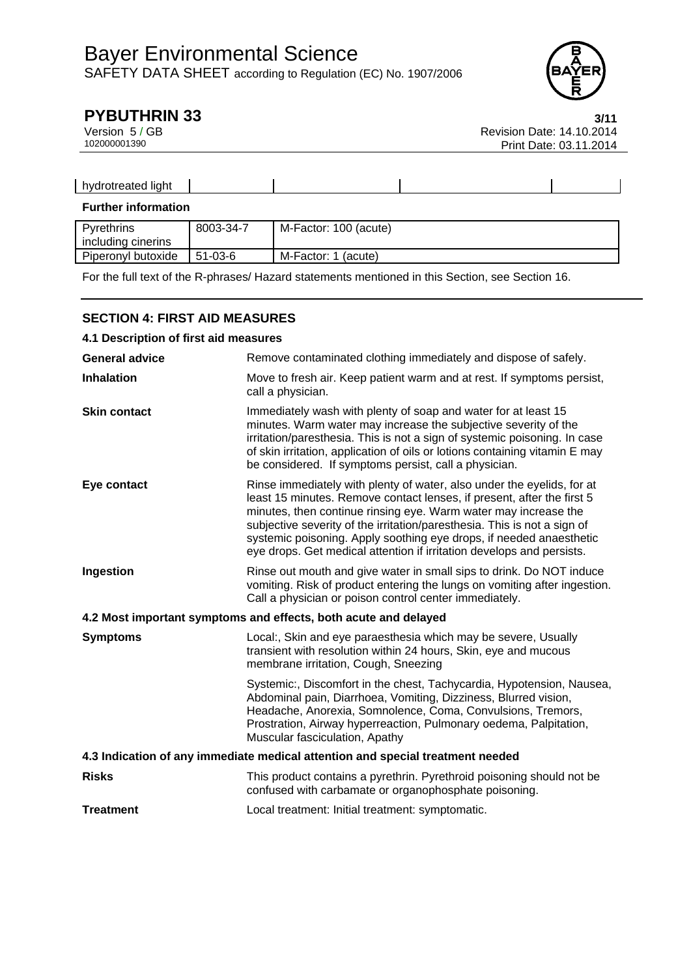

| <br>. hvr<br>.<br>.<br><b>IIND</b><br>. |  |  |
|-----------------------------------------|--|--|
|                                         |  |  |

## **Further information**

| Pvrethrins         | 8003-34-7     | M-Factor: 100 (acute)  |
|--------------------|---------------|------------------------|
| including cinerins |               |                        |
| Piperonyl butoxide | $51 - 03 - 6$ | M-Factor: 1<br>(acute) |

For the full text of the R-phrases/ Hazard statements mentioned in this Section, see Section 16.

## **SECTION 4: FIRST AID MEASURES**

| 4.1 Description of first aid measures                                          |                                                                                                                                                                                                                                                                                                                                                                                                                                                 |  |  |
|--------------------------------------------------------------------------------|-------------------------------------------------------------------------------------------------------------------------------------------------------------------------------------------------------------------------------------------------------------------------------------------------------------------------------------------------------------------------------------------------------------------------------------------------|--|--|
| <b>General advice</b>                                                          | Remove contaminated clothing immediately and dispose of safely.                                                                                                                                                                                                                                                                                                                                                                                 |  |  |
| <b>Inhalation</b>                                                              | Move to fresh air. Keep patient warm and at rest. If symptoms persist,<br>call a physician.                                                                                                                                                                                                                                                                                                                                                     |  |  |
| <b>Skin contact</b>                                                            | Immediately wash with plenty of soap and water for at least 15<br>minutes. Warm water may increase the subjective severity of the<br>irritation/paresthesia. This is not a sign of systemic poisoning. In case<br>of skin irritation, application of oils or lotions containing vitamin E may<br>be considered. If symptoms persist, call a physician.                                                                                          |  |  |
| Eye contact                                                                    | Rinse immediately with plenty of water, also under the eyelids, for at<br>least 15 minutes. Remove contact lenses, if present, after the first 5<br>minutes, then continue rinsing eye. Warm water may increase the<br>subjective severity of the irritation/paresthesia. This is not a sign of<br>systemic poisoning. Apply soothing eye drops, if needed anaesthetic<br>eye drops. Get medical attention if irritation develops and persists. |  |  |
| Ingestion                                                                      | Rinse out mouth and give water in small sips to drink. Do NOT induce<br>vomiting. Risk of product entering the lungs on vomiting after ingestion.<br>Call a physician or poison control center immediately.                                                                                                                                                                                                                                     |  |  |
|                                                                                | 4.2 Most important symptoms and effects, both acute and delayed                                                                                                                                                                                                                                                                                                                                                                                 |  |  |
| <b>Symptoms</b>                                                                | Local:, Skin and eye paraesthesia which may be severe, Usually<br>transient with resolution within 24 hours, Skin, eye and mucous<br>membrane irritation, Cough, Sneezing                                                                                                                                                                                                                                                                       |  |  |
|                                                                                | Systemic:, Discomfort in the chest, Tachycardia, Hypotension, Nausea,<br>Abdominal pain, Diarrhoea, Vomiting, Dizziness, Blurred vision,<br>Headache, Anorexia, Somnolence, Coma, Convulsions, Tremors,<br>Prostration, Airway hyperreaction, Pulmonary oedema, Palpitation,<br>Muscular fasciculation, Apathy                                                                                                                                  |  |  |
| 4.3 Indication of any immediate medical attention and special treatment needed |                                                                                                                                                                                                                                                                                                                                                                                                                                                 |  |  |
| <b>Risks</b>                                                                   | This product contains a pyrethrin. Pyrethroid poisoning should not be<br>confused with carbamate or organophosphate poisoning.                                                                                                                                                                                                                                                                                                                  |  |  |
| <b>Treatment</b>                                                               | Local treatment: Initial treatment: symptomatic.                                                                                                                                                                                                                                                                                                                                                                                                |  |  |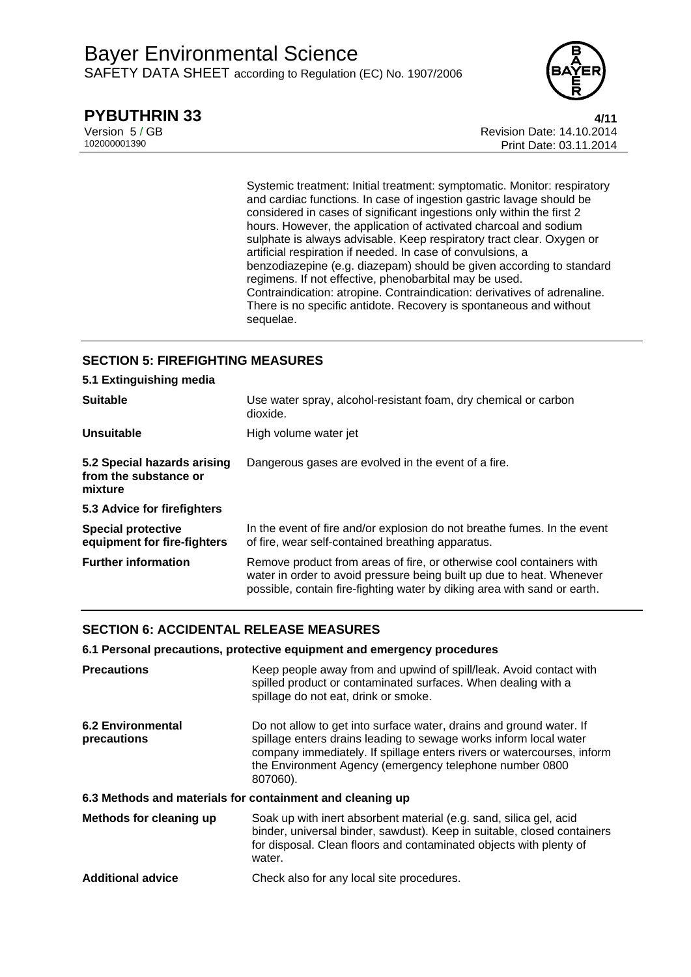

## **PYBUTHRIN 33** 4/11

Version 5 / GB Revision Date: 14.10.2014 Print Date: 03.11.2014

> Systemic treatment: Initial treatment: symptomatic. Monitor: respiratory and cardiac functions. In case of ingestion gastric lavage should be considered in cases of significant ingestions only within the first 2 hours. However, the application of activated charcoal and sodium sulphate is always advisable. Keep respiratory tract clear. Oxygen or artificial respiration if needed. In case of convulsions, a benzodiazepine (e.g. diazepam) should be given according to standard regimens. If not effective, phenobarbital may be used. Contraindication: atropine. Contraindication: derivatives of adrenaline. There is no specific antidote. Recovery is spontaneous and without sequelae.

## **SECTION 5: FIREFIGHTING MEASURES**

| 5.1 Extinguishing media                                         |                                                                                                                                                                                                                           |
|-----------------------------------------------------------------|---------------------------------------------------------------------------------------------------------------------------------------------------------------------------------------------------------------------------|
| <b>Suitable</b>                                                 | Use water spray, alcohol-resistant foam, dry chemical or carbon<br>dioxide.                                                                                                                                               |
| <b>Unsuitable</b>                                               | High volume water jet                                                                                                                                                                                                     |
| 5.2 Special hazards arising<br>from the substance or<br>mixture | Dangerous gases are evolved in the event of a fire.                                                                                                                                                                       |
| 5.3 Advice for firefighters                                     |                                                                                                                                                                                                                           |
| <b>Special protective</b><br>equipment for fire-fighters        | In the event of fire and/or explosion do not breathe fumes. In the event<br>of fire, wear self-contained breathing apparatus.                                                                                             |
| <b>Further information</b>                                      | Remove product from areas of fire, or otherwise cool containers with<br>water in order to avoid pressure being built up due to heat. Whenever<br>possible, contain fire-fighting water by diking area with sand or earth. |

## **SECTION 6: ACCIDENTAL RELEASE MEASURES**

#### **6.1 Personal precautions, protective equipment and emergency procedures**

| <b>Precautions</b>                                        | Keep people away from and upwind of spill/leak. Avoid contact with<br>spilled product or contaminated surfaces. When dealing with a<br>spillage do not eat, drink or smoke.                                                                                                               |  |  |
|-----------------------------------------------------------|-------------------------------------------------------------------------------------------------------------------------------------------------------------------------------------------------------------------------------------------------------------------------------------------|--|--|
| <b>6.2 Environmental</b><br>precautions                   | Do not allow to get into surface water, drains and ground water. If<br>spillage enters drains leading to sewage works inform local water<br>company immediately. If spillage enters rivers or watercourses, inform<br>the Environment Agency (emergency telephone number 0800<br>807060). |  |  |
| 6.3 Methods and materials for containment and cleaning up |                                                                                                                                                                                                                                                                                           |  |  |
| Methods for cleaning up                                   | Soak up with inert absorbent material (e.g. sand, silica gel, acid<br>binder, universal binder, sawdust). Keep in suitable, closed containers<br>for disposal. Clean floors and contaminated objects with plenty of<br>water.                                                             |  |  |
| <b>Additional advice</b>                                  | Check also for any local site procedures.                                                                                                                                                                                                                                                 |  |  |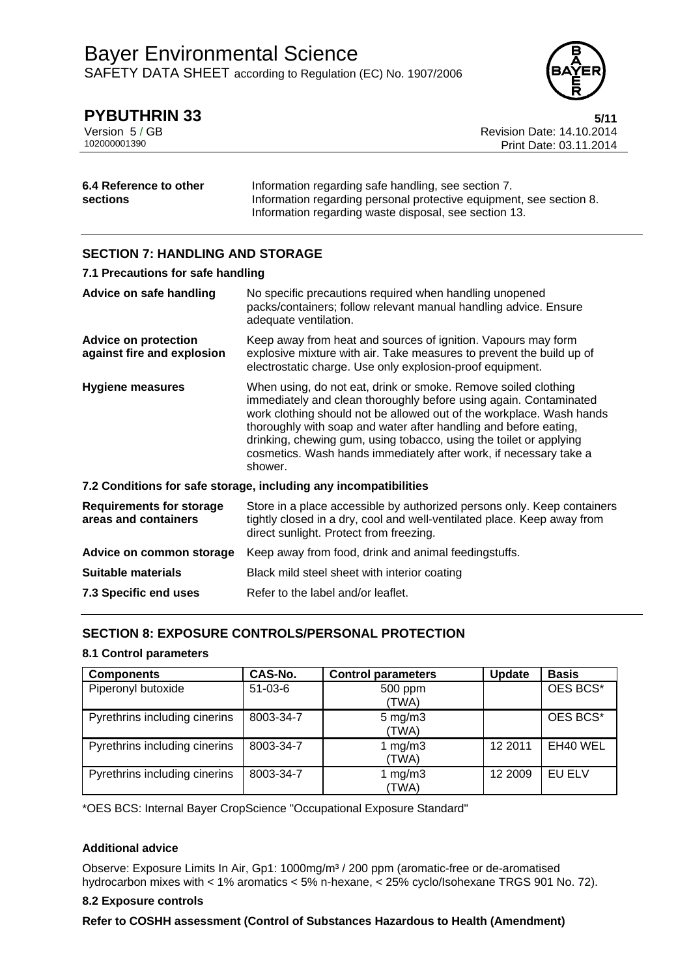

# **PYBUTHRIN 33** 5/11

Version 5 / GB Revision Date: 14.10.2014 Print Date: 03.11.2014

| 6.4 Reference to other | Information regarding safe handling, see section 7.                 |
|------------------------|---------------------------------------------------------------------|
| sections               | Information regarding personal protective equipment, see section 8. |
|                        | Information regarding waste disposal, see section 13.               |

## **SECTION 7: HANDLING AND STORAGE**

| 7.1 Precautions for safe handling                         |                                                                                                                                                                                                                                                                                                                                                                                                                                       |  |  |
|-----------------------------------------------------------|---------------------------------------------------------------------------------------------------------------------------------------------------------------------------------------------------------------------------------------------------------------------------------------------------------------------------------------------------------------------------------------------------------------------------------------|--|--|
| Advice on safe handling                                   | No specific precautions required when handling unopened<br>packs/containers; follow relevant manual handling advice. Ensure<br>adequate ventilation.                                                                                                                                                                                                                                                                                  |  |  |
| <b>Advice on protection</b><br>against fire and explosion | Keep away from heat and sources of ignition. Vapours may form<br>explosive mixture with air. Take measures to prevent the build up of<br>electrostatic charge. Use only explosion-proof equipment.                                                                                                                                                                                                                                    |  |  |
| <b>Hygiene measures</b>                                   | When using, do not eat, drink or smoke. Remove soiled clothing<br>immediately and clean thoroughly before using again. Contaminated<br>work clothing should not be allowed out of the workplace. Wash hands<br>thoroughly with soap and water after handling and before eating,<br>drinking, chewing gum, using tobacco, using the toilet or applying<br>cosmetics. Wash hands immediately after work, if necessary take a<br>shower. |  |  |
|                                                           | 7.2 Conditions for safe storage, including any incompatibilities                                                                                                                                                                                                                                                                                                                                                                      |  |  |
| <b>Requirements for storage</b><br>areas and containers   | Store in a place accessible by authorized persons only. Keep containers<br>tightly closed in a dry, cool and well-ventilated place. Keep away from<br>direct sunlight. Protect from freezing.                                                                                                                                                                                                                                         |  |  |
| Advice on common storage                                  | Keep away from food, drink and animal feedingstuffs.                                                                                                                                                                                                                                                                                                                                                                                  |  |  |
| Suitable materials                                        | Black mild steel sheet with interior coating                                                                                                                                                                                                                                                                                                                                                                                          |  |  |
| 7.3 Specific end uses                                     | Refer to the label and/or leaflet.                                                                                                                                                                                                                                                                                                                                                                                                    |  |  |

## **SECTION 8: EXPOSURE CONTROLS/PERSONAL PROTECTION**

## **8.1 Control parameters**

| <b>Components</b>             | CAS-No.   | <b>Control parameters</b>   | <b>Update</b> | <b>Basis</b> |
|-------------------------------|-----------|-----------------------------|---------------|--------------|
| Piperonyl butoxide            | $51-03-6$ | 500 ppm<br>(TWA)            |               | OES BCS*     |
| Pyrethrins including cinerins | 8003-34-7 | $5 \text{ mg/m}$ 3<br>(TWA) |               | OES BCS*     |
| Pyrethrins including cinerins | 8003-34-7 | 1 $mg/m3$<br>(TWA)          | 12 2011       | EH40 WEL     |
| Pyrethrins including cinerins | 8003-34-7 | 1 $mg/m3$<br>(TWA)          | 12 2009       | EU ELV       |

\*OES BCS: Internal Bayer CropScience "Occupational Exposure Standard"

## **Additional advice**

Observe: Exposure Limits In Air, Gp1: 1000mg/m<sup>3</sup> / 200 ppm (aromatic-free or de-aromatised hydrocarbon mixes with < 1% aromatics < 5% n-hexane, < 25% cyclo/Isohexane TRGS 901 No. 72).

## **8.2 Exposure controls**

**Refer to COSHH assessment (Control of Substances Hazardous to Health (Amendment)**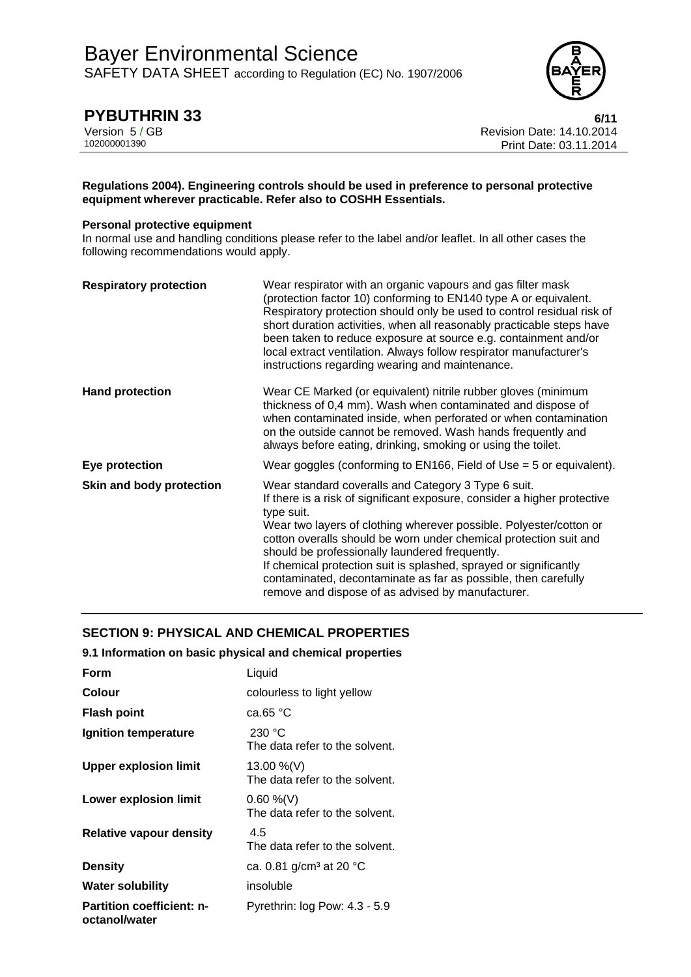

**PYBUTHRIN 33** 6/11<br>Version 5 / GB 6/11<br>Revision Date: 14.10.2014 Version 5 / GB Revision Date: 14.10.2014 Print Date: 03.11.2014

#### **Regulations 2004). Engineering controls should be used in preference to personal protective equipment wherever practicable. Refer also to COSHH Essentials.**

#### **Personal protective equipment**

In normal use and handling conditions please refer to the label and/or leaflet. In all other cases the following recommendations would apply.

| <b>Respiratory protection</b> | Wear respirator with an organic vapours and gas filter mask<br>(protection factor 10) conforming to EN140 type A or equivalent.<br>Respiratory protection should only be used to control residual risk of<br>short duration activities, when all reasonably practicable steps have<br>been taken to reduce exposure at source e.g. containment and/or<br>local extract ventilation. Always follow respirator manufacturer's<br>instructions regarding wearing and maintenance.                                                         |
|-------------------------------|----------------------------------------------------------------------------------------------------------------------------------------------------------------------------------------------------------------------------------------------------------------------------------------------------------------------------------------------------------------------------------------------------------------------------------------------------------------------------------------------------------------------------------------|
| <b>Hand protection</b>        | Wear CE Marked (or equivalent) nitrile rubber gloves (minimum<br>thickness of 0,4 mm). Wash when contaminated and dispose of<br>when contaminated inside, when perforated or when contamination<br>on the outside cannot be removed. Wash hands frequently and<br>always before eating, drinking, smoking or using the toilet.                                                                                                                                                                                                         |
| Eye protection                | Wear goggles (conforming to $EN166$ , Field of Use = 5 or equivalent).                                                                                                                                                                                                                                                                                                                                                                                                                                                                 |
| Skin and body protection      | Wear standard coveralls and Category 3 Type 6 suit.<br>If there is a risk of significant exposure, consider a higher protective<br>type suit.<br>Wear two layers of clothing wherever possible. Polyester/cotton or<br>cotton overalls should be worn under chemical protection suit and<br>should be professionally laundered frequently.<br>If chemical protection suit is splashed, sprayed or significantly<br>contaminated, decontaminate as far as possible, then carefully<br>remove and dispose of as advised by manufacturer. |

## **SECTION 9: PHYSICAL AND CHEMICAL PROPERTIES**

#### **9.1 Information on basic physical and chemical properties**

| Form                                              | Liquid                                          |
|---------------------------------------------------|-------------------------------------------------|
| Colour                                            | colourless to light yellow                      |
| <b>Flash point</b>                                | ca.65 $°C$                                      |
| Ignition temperature                              | 230 °C<br>The data refer to the solvent.        |
| <b>Upper explosion limit</b>                      | 13.00 %(V)<br>The data refer to the solvent.    |
| <b>Lower explosion limit</b>                      | $0.60 \%$ (V)<br>The data refer to the solvent. |
| <b>Relative vapour density</b>                    | 4.5<br>The data refer to the solvent.           |
| <b>Density</b>                                    | ca. 0.81 g/cm <sup>3</sup> at 20 $^{\circ}$ C   |
| <b>Water solubility</b>                           | insoluble                                       |
| <b>Partition coefficient: n-</b><br>octanol/water | Pyrethrin: log Pow: 4.3 - 5.9                   |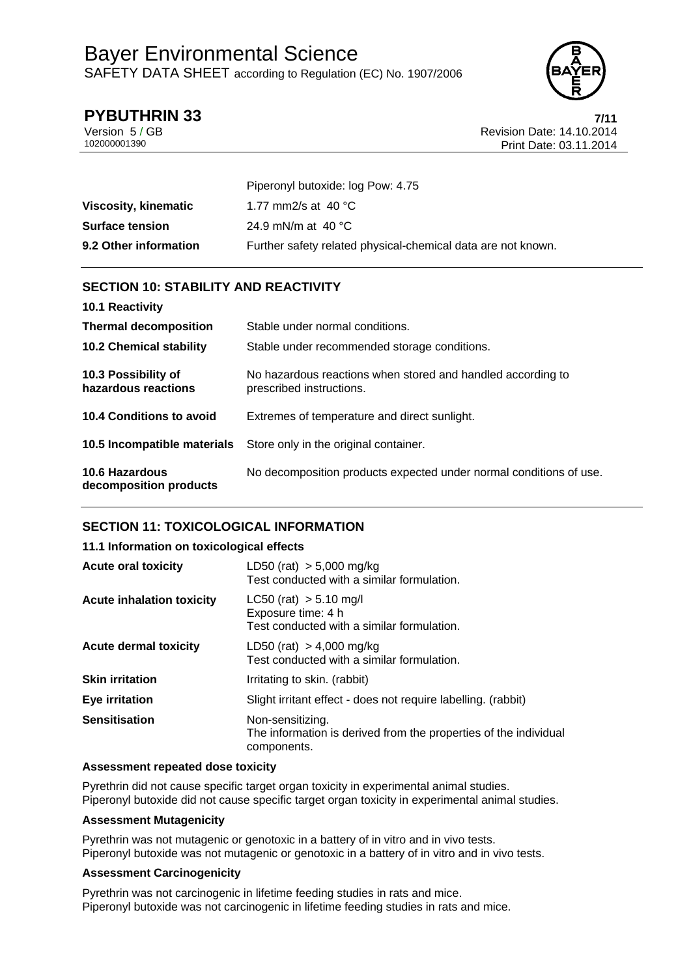

## **PYBUTHRIN 33** 7/11

Version 5 / GB Revision Date: 14.10.2014 Print Date: 03.11.2014

|                        | Piperonyl butoxide: log Pow: 4.75                            |
|------------------------|--------------------------------------------------------------|
| Viscosity, kinematic   | 1.77 mm2/s at 40 $^{\circ}$ C                                |
| <b>Surface tension</b> | 24.9 mN/m at 40 $^{\circ}$ C                                 |
| 9.2 Other information  | Further safety related physical-chemical data are not known. |

## **SECTION 10: STABILITY AND REACTIVITY**

| 10.1 Reactivity                            |                                                                                         |
|--------------------------------------------|-----------------------------------------------------------------------------------------|
| <b>Thermal decomposition</b>               | Stable under normal conditions.                                                         |
| <b>10.2 Chemical stability</b>             | Stable under recommended storage conditions.                                            |
| 10.3 Possibility of<br>hazardous reactions | No hazardous reactions when stored and handled according to<br>prescribed instructions. |
| 10.4 Conditions to avoid                   | Extremes of temperature and direct sunlight.                                            |
| 10.5 Incompatible materials                | Store only in the original container.                                                   |
| 10.6 Hazardous<br>decomposition products   | No decomposition products expected under normal conditions of use.                      |

## **SECTION 11: TOXICOLOGICAL INFORMATION**

## **11.1 Information on toxicological effects**

| <b>Acute oral toxicity</b>       | LD50 (rat) $> 5,000$ mg/kg<br>Test conducted with a similar formulation.                            |
|----------------------------------|-----------------------------------------------------------------------------------------------------|
| <b>Acute inhalation toxicity</b> | $LC50$ (rat) $> 5.10$ mg/l<br>Exposure time: 4 h<br>Test conducted with a similar formulation.      |
| <b>Acute dermal toxicity</b>     | LD50 (rat) $> 4,000$ mg/kg<br>Test conducted with a similar formulation.                            |
| <b>Skin irritation</b>           | Irritating to skin. (rabbit)                                                                        |
| Eye irritation                   | Slight irritant effect - does not require labelling. (rabbit)                                       |
| <b>Sensitisation</b>             | Non-sensitizing.<br>The information is derived from the properties of the individual<br>components. |

## **Assessment repeated dose toxicity**

Pyrethrin did not cause specific target organ toxicity in experimental animal studies. Piperonyl butoxide did not cause specific target organ toxicity in experimental animal studies.

## **Assessment Mutagenicity**

Pyrethrin was not mutagenic or genotoxic in a battery of in vitro and in vivo tests. Piperonyl butoxide was not mutagenic or genotoxic in a battery of in vitro and in vivo tests.

## **Assessment Carcinogenicity**

Pyrethrin was not carcinogenic in lifetime feeding studies in rats and mice. Piperonyl butoxide was not carcinogenic in lifetime feeding studies in rats and mice.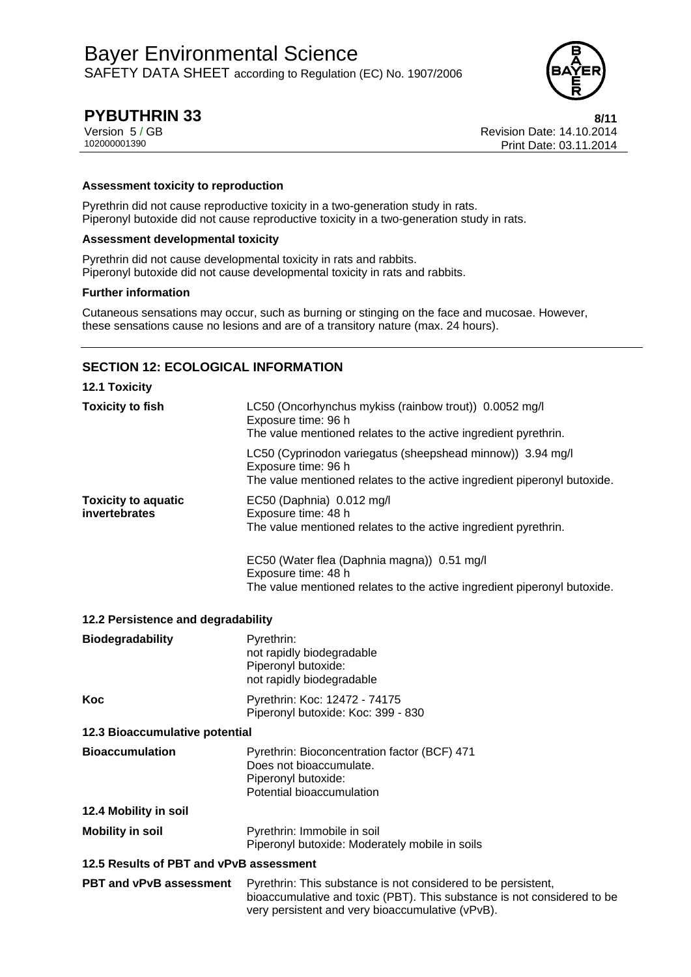

# **PYBUTHRIN 33** 8/11

Version 5 / GB Revision Date: 14.10.2014 Print Date: 03.11.2014

#### **Assessment toxicity to reproduction**

Pyrethrin did not cause reproductive toxicity in a two-generation study in rats. Piperonyl butoxide did not cause reproductive toxicity in a two-generation study in rats.

#### **Assessment developmental toxicity**

Pyrethrin did not cause developmental toxicity in rats and rabbits. Piperonyl butoxide did not cause developmental toxicity in rats and rabbits.

#### **Further information**

Cutaneous sensations may occur, such as burning or stinging on the face and mucosae. However, these sensations cause no lesions and are of a transitory nature (max. 24 hours).

## **SECTION 12: ECOLOGICAL INFORMATION**

| <b>12.1 Toxicity</b>                        |                                                                                                                                                                                              |
|---------------------------------------------|----------------------------------------------------------------------------------------------------------------------------------------------------------------------------------------------|
| <b>Toxicity to fish</b>                     | LC50 (Oncorhynchus mykiss (rainbow trout)) 0.0052 mg/l<br>Exposure time: 96 h<br>The value mentioned relates to the active ingredient pyrethrin.                                             |
|                                             | LC50 (Cyprinodon variegatus (sheepshead minnow)) 3.94 mg/l<br>Exposure time: 96 h<br>The value mentioned relates to the active ingredient piperonyl butoxide.                                |
| <b>Toxicity to aquatic</b><br>invertebrates | EC50 (Daphnia) 0.012 mg/l<br>Exposure time: 48 h<br>The value mentioned relates to the active ingredient pyrethrin.                                                                          |
|                                             | EC50 (Water flea (Daphnia magna)) 0.51 mg/l<br>Exposure time: 48 h                                                                                                                           |
|                                             | The value mentioned relates to the active ingredient piperonyl butoxide.                                                                                                                     |
| 12.2 Persistence and degradability          |                                                                                                                                                                                              |
| <b>Biodegradability</b>                     | Pyrethrin:<br>not rapidly biodegradable<br>Piperonyl butoxide:<br>not rapidly biodegradable                                                                                                  |
| Koc                                         | Pyrethrin: Koc: 12472 - 74175<br>Piperonyl butoxide: Koc: 399 - 830                                                                                                                          |
| 12.3 Bioaccumulative potential              |                                                                                                                                                                                              |
| <b>Bioaccumulation</b>                      | Pyrethrin: Bioconcentration factor (BCF) 471<br>Does not bioaccumulate.<br>Piperonyl butoxide:<br>Potential bioaccumulation                                                                  |
| 12.4 Mobility in soil                       |                                                                                                                                                                                              |
| <b>Mobility in soil</b>                     | Pyrethrin: Immobile in soil<br>Piperonyl butoxide: Moderately mobile in soils                                                                                                                |
| 12.5 Results of PBT and vPvB assessment     |                                                                                                                                                                                              |
| <b>PBT and vPvB assessment</b>              | Pyrethrin: This substance is not considered to be persistent,<br>bioaccumulative and toxic (PBT). This substance is not considered to be<br>very persistent and very bioaccumulative (vPvB). |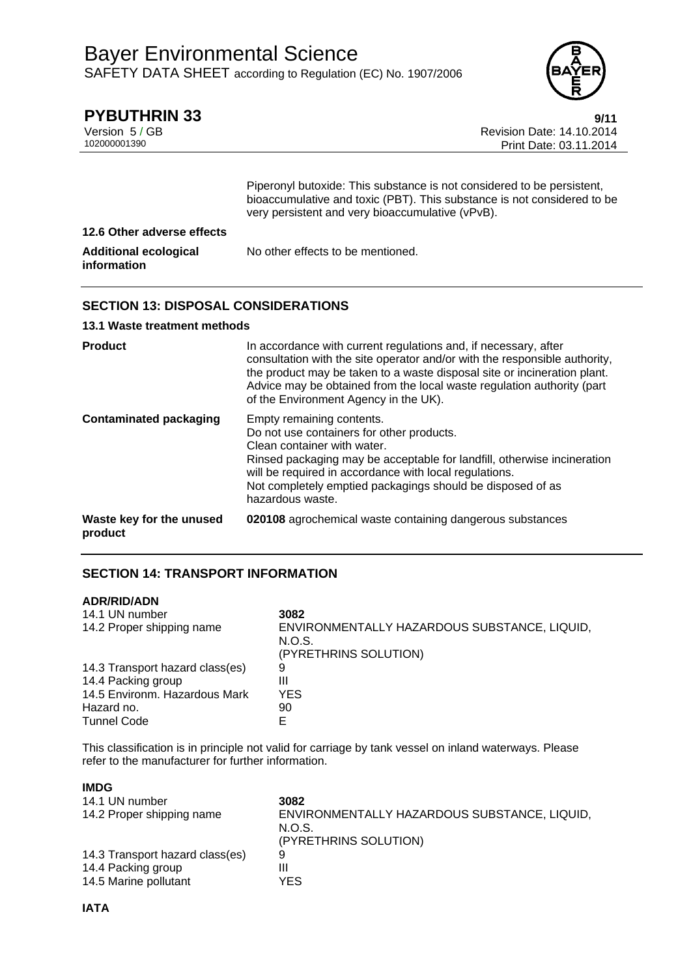

**PYBUTHRIN 33**<br>Version 5 / GB<br>Revision Date: 14.10.2014 Version 5 / GB Revision Date: 14.10.2014 Print Date: 03.11.2014

|                                             | Piperonyl butoxide: This substance is not considered to be persistent,<br>bioaccumulative and toxic (PBT). This substance is not considered to be<br>very persistent and very bioaccumulative (vPvB). |
|---------------------------------------------|-------------------------------------------------------------------------------------------------------------------------------------------------------------------------------------------------------|
| 12.6 Other adverse effects                  |                                                                                                                                                                                                       |
| <b>Additional ecological</b><br>information | No other effects to be mentioned.                                                                                                                                                                     |

## **SECTION 13: DISPOSAL CONSIDERATIONS**

## **13.1 Waste treatment methods**

| <b>Product</b>                      | In accordance with current regulations and, if necessary, after<br>consultation with the site operator and/or with the responsible authority,<br>the product may be taken to a waste disposal site or incineration plant.<br>Advice may be obtained from the local waste regulation authority (part<br>of the Environment Agency in the UK). |
|-------------------------------------|----------------------------------------------------------------------------------------------------------------------------------------------------------------------------------------------------------------------------------------------------------------------------------------------------------------------------------------------|
| <b>Contaminated packaging</b>       | Empty remaining contents.<br>Do not use containers for other products.<br>Clean container with water.<br>Rinsed packaging may be acceptable for landfill, otherwise incineration<br>will be required in accordance with local regulations.<br>Not completely emptied packagings should be disposed of as<br>hazardous waste.                 |
| Waste key for the unused<br>product | 020108 agrochemical waste containing dangerous substances                                                                                                                                                                                                                                                                                    |

## **SECTION 14: TRANSPORT INFORMATION**

## **ADR/RID/ADN**

| 14.1 UN number                  | 3082                                         |
|---------------------------------|----------------------------------------------|
| 14.2 Proper shipping name       | ENVIRONMENTALLY HAZARDOUS SUBSTANCE, LIQUID, |
|                                 | N.O.S.                                       |
|                                 | (PYRETHRINS SOLUTION)                        |
| 14.3 Transport hazard class(es) | 9                                            |
| 14.4 Packing group              | Ш                                            |
| 14.5 Environm. Hazardous Mark   | YES.                                         |
| Hazard no.                      | 90                                           |
| <b>Tunnel Code</b>              |                                              |

This classification is in principle not valid for carriage by tank vessel on inland waterways. Please refer to the manufacturer for further information.

| <b>IMDG</b>                     |                                                        |
|---------------------------------|--------------------------------------------------------|
| 14.1 UN number                  | 3082                                                   |
| 14.2 Proper shipping name       | ENVIRONMENTALLY HAZARDOUS SUBSTANCE, LIQUID,<br>N.O.S. |
|                                 | (PYRETHRINS SOLUTION)                                  |
| 14.3 Transport hazard class(es) | 9                                                      |
| 14.4 Packing group              | Ш                                                      |
| 14.5 Marine pollutant           | YES                                                    |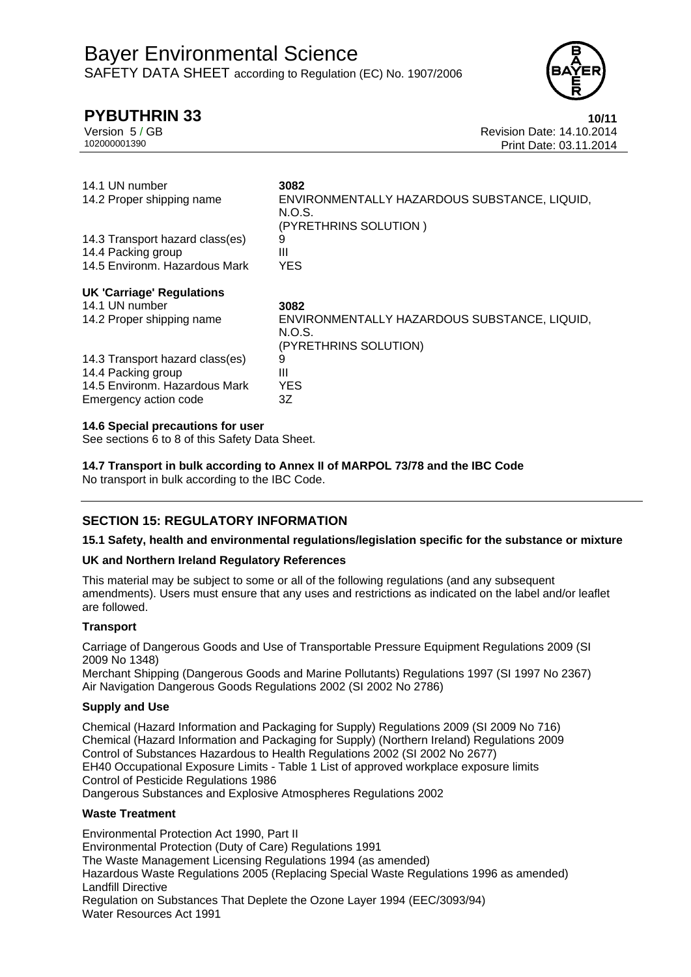# **PYBUTHRIN 33 10/11**



Version 5 / GB<br>10200001390<br>Print Date: 03.11.2014 Print Date: 03.11.2014

| 14.1 UN number<br>14.2 Proper shipping name | 3082<br>ENVIRONMENTALLY HAZARDOUS SUBSTANCE, LIQUID,<br>N.O.S.<br>(PYRETHRINS SOLUTION ) |
|---------------------------------------------|------------------------------------------------------------------------------------------|
| 14.3 Transport hazard class(es)             | 9                                                                                        |
| 14.4 Packing group                          | Ш                                                                                        |
| 14.5 Environm. Hazardous Mark               | <b>YES</b>                                                                               |
| <b>UK 'Carriage' Regulations</b>            |                                                                                          |
| 14.1 UN number                              | 3082                                                                                     |
| 14.2 Proper shipping name                   | ENVIRONMENTALLY HAZARDOUS SUBSTANCE, LIQUID,<br>N.O.S.<br>(PYRETHRINS SOLUTION)          |
| 14.3 Transport hazard class(es)             | 9                                                                                        |
| 14.4 Packing group                          | Ш                                                                                        |
| 14.5 Environm. Hazardous Mark               | <b>YES</b>                                                                               |
| Emergency action code                       | 3Z                                                                                       |

#### **14.6 Special precautions for user**

See sections 6 to 8 of this Safety Data Sheet.

**14.7 Transport in bulk according to Annex II of MARPOL 73/78 and the IBC Code** 

No transport in bulk according to the IBC Code.

## **SECTION 15: REGULATORY INFORMATION**

## **15.1 Safety, health and environmental regulations/legislation specific for the substance or mixture**

## **UK and Northern Ireland Regulatory References**

This material may be subject to some or all of the following regulations (and any subsequent amendments). Users must ensure that any uses and restrictions as indicated on the label and/or leaflet are followed.

## **Transport**

Carriage of Dangerous Goods and Use of Transportable Pressure Equipment Regulations 2009 (SI 2009 No 1348)

Merchant Shipping (Dangerous Goods and Marine Pollutants) Regulations 1997 (SI 1997 No 2367) Air Navigation Dangerous Goods Regulations 2002 (SI 2002 No 2786)

## **Supply and Use**

Chemical (Hazard Information and Packaging for Supply) Regulations 2009 (SI 2009 No 716) Chemical (Hazard Information and Packaging for Supply) (Northern Ireland) Regulations 2009 Control of Substances Hazardous to Health Regulations 2002 (SI 2002 No 2677) EH40 Occupational Exposure Limits - Table 1 List of approved workplace exposure limits Control of Pesticide Regulations 1986 Dangerous Substances and Explosive Atmospheres Regulations 2002

**Waste Treatment**

Environmental Protection Act 1990, Part II Environmental Protection (Duty of Care) Regulations 1991 The Waste Management Licensing Regulations 1994 (as amended) Hazardous Waste Regulations 2005 (Replacing Special Waste Regulations 1996 as amended) Landfill Directive Regulation on Substances That Deplete the Ozone Layer 1994 (EEC/3093/94) Water Resources Act 1991